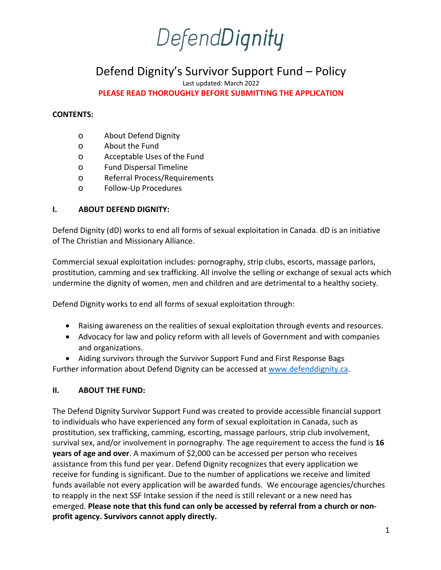### DefendDignity

### Defend Dignity's Survivor Support Fund – Policy

Last updated: March 2022

**PLEASE READ THOROUGHLY BEFORE SUBMITTING THE APPLICATION**

#### **CONTENTS:**

- o About Defend Dignity
- o About the Fund
- o Acceptable Uses of the Fund
- o Fund Dispersal Timeline
- o Referral Process/Requirements
- o Follow-Up Procedures

#### **I. ABOUT DEFEND DIGNITY:**

Defend Dignity (dD) works to end all forms of sexual exploitation in Canada. dD is an initiative of The Christian and Missionary Alliance.

Commercial sexual exploitation includes: pornography, strip clubs, escorts, massage parlors, prostitution, camming and sex trafficking. All involve the selling or exchange of sexual acts which undermine the dignity of women, men and children and are detrimental to a healthy society.

Defend Dignity works to end all forms of sexual exploitation through:

- Raising awareness on the realities of sexual exploitation through events and resources.
- Advocacy for law and policy reform with all levels of Government and with companies and organizations.
- Aiding survivors through the Survivor Support Fund and First Response Bags

Further information about Defend Dignity can be accessed at www.defenddignity.ca.

#### **II. ABOUT THE FUND:**

The Defend Dignity Survivor Support Fund was created to provide accessible financial support to individuals who have experienced any form of sexual exploitation in Canada, such as prostitution, sex trafficking, camming, escorting, massage parlours, strip club involvement, survival sex, and/or involvement in pornography. The age requirement to access the fund is **16 years of age and over**. A maximum of \$2,000 can be accessed per person who receives assistance from this fund per year. Defend Dignity recognizes that every application we receive for funding is significant. Due to the number of applications we receive and limited funds available not every application will be awarded funds. We encourage agencies/churches to reapply in the next SSF Intake session if the need is still relevant or a new need has emerged. **Please note that this fund can only be accessed by referral from a church or nonprofit agency. Survivors cannot apply directly.**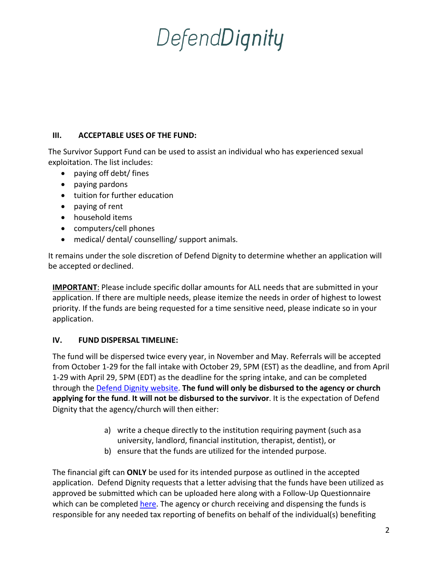# DefendDignity

#### **III. ACCEPTABLE USES OF THE FUND:**

The Survivor Support Fund can be used to assist an individual who has experienced sexual exploitation. The list includes:

- paying off debt/ fines
- paying pardons
- tuition for further education
- paying of rent
- household items
- computers/cell phones
- medical/ dental/ counselling/ support animals.

It remains under the sole discretion of Defend Dignity to determine whether an application will be accepted or declined.

**IMPORTANT**: Please include specific dollar amounts for ALL needs that are submitted in your application. If there are multiple needs, please itemize the needs in order of highest to lowest priority. If the funds are being requested for a time sensitive need, please indicate so in your application.

#### **IV. FUND DISPERSAL TIMELINE:**

The fund will be dispersed twice every year, in November and May. Referrals will be accepted from October 1-29 for the fall intake with October 29, 5PM (EST) as the deadline, and from April 1-29 with April 29, 5PM (EDT) as the deadline for the spring intake, and can be completed through the Defend Dignity website. **The fund will only be disbursed to the agency or church applying for the fund**. **It will not be disbursed to the survivor**. It is the expectation of Defend Dignity that the agency/church will then either:

- a) write a cheque directly to the institution requiring payment (such asa university, landlord, financial institution, therapist, dentist), or
- b) ensure that the funds are utilized for the intended purpose.

The financial gift can **ONLY** be used for its intended purpose as outlined in the accepted application. Defend Dignity requests that a letter advising that the funds have been utilized as approved be submitted which can be uploaded here along with a Follow-Up Questionnaire which can be completed here. The agency or church receiving and dispensing the funds is responsible for any needed tax reporting of benefits on behalf of the individual(s) benefiting